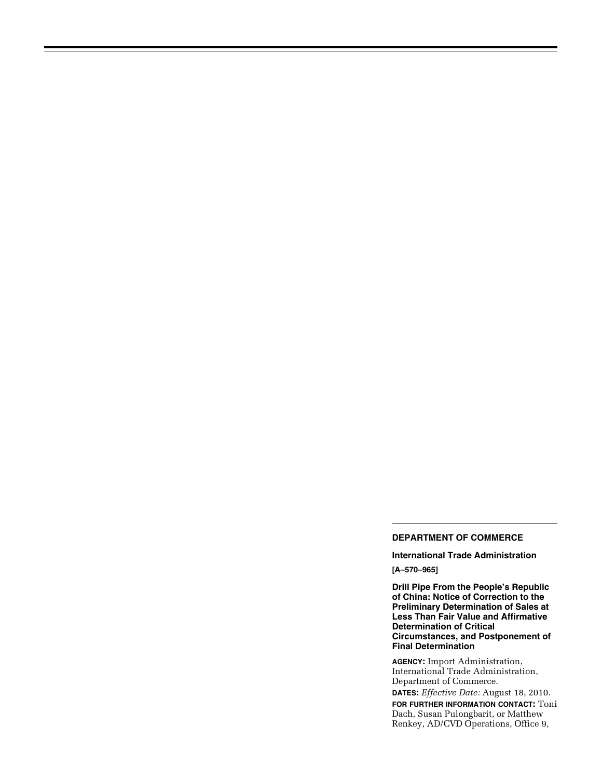## **DEPARTMENT OF COMMERCE**

**International Trade Administration [A–570–965]** 

**Drill Pipe From the People's Republic of China: Notice of Correction to the Preliminary Determination of Sales at Less Than Fair Value and Affirmative Determination of Critical Circumstances, and Postponement of Final Determination** 

**AGENCY:** Import Administration, International Trade Administration, Department of Commerce.

**DATES:** *Effective Date:* August 18, 2010. **FOR FURTHER INFORMATION CONTACT:** Toni Dach, Susan Pulongbarit, or Matthew Renkey, AD/CVD Operations, Office 9,